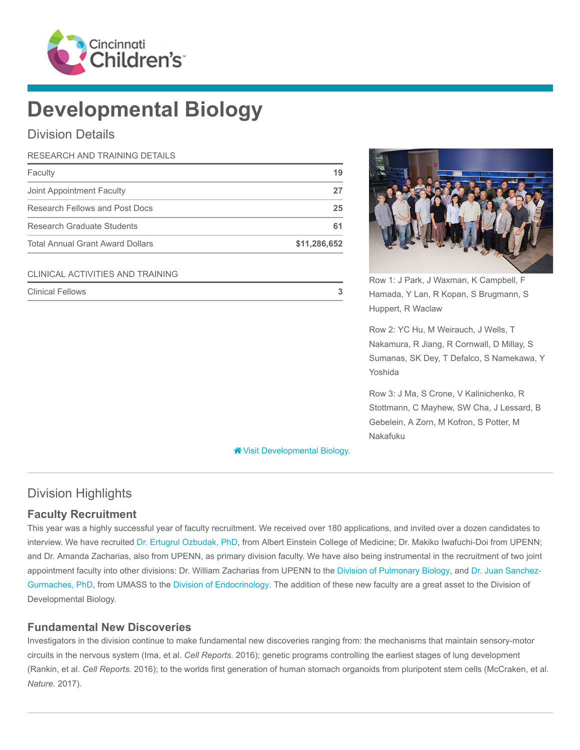

# Developmental Biology

Division Details

## RESEARCH AND TRAINING DETAILS Faculty **19** Joint Appointment Faculty 27 Research Fellows and Post Docs 25 Research Graduate Students 61 and 200 and 200 and 200 and 200 and 200 and 200 and 200 and 200 and 200 and 200  $\beta$ Total Annual Grant Award Dollars **\$11,286,652**

#### CLINICAL ACTIVITIES AND TRAINING



Row 1: J Park, J Waxman, K Campbell, F Hamada, Y Lan, R Kopan, S Brugmann, S Huppert, R Waclaw

Row 2: YC Hu, M Weirauch, J Wells, T Nakamura, R Jiang, R Cornwall, D Millay, S Sumanas, SK Dey, T Defalco, S Namekawa, Y Yoshida

Row 3: J Ma, S Crone, V Kalinichenko, R Stottmann, C Mayhew, SW Cha, J Lessard, B Gebelein, A Zorn, M Kofron, S Potter, M Nakafuku

[Visit Developmental Biology.](https://www.cincinnatichildrens.org/research/divisions/d/dev-biology)

## Division Highlights

#### Faculty Recruitment

This year was a highly successful year of faculty recruitment. We received over 180 applications, and invited over a dozen candidates to interview. We have recruited [Dr. Ertugrul Ozbudak, PhD,](https://www.cincinnatichildrens.org/bio/o/ertugrul-ozbudak) from Albert Einstein College of Medicine; Dr. Makiko Iwafuchi-Doi from UPENN; and Dr. Amanda Zacharias, also from UPENN, as primary division faculty. We have also being instrumental in the recruitment of two joint [appointment faculty into other divisions: Dr. William Zacharias from UPENN to the](https://www.cincinnatichildrens.org/bio/s/juan-sanchez-gurmaches) [Division of Pulmonary Biolog](https://www.cincinnatichildrens.org/research/divisions/p/pulmonary-bio)[y, and Dr. Juan Sanchez-](https://www.cincinnatichildrens.org/bio/s/juan-sanchez-gurmaches)Gurmaches, PhD, from UMASS to the [Division of Endocrinology](https://www.cincinnatichildrens.org/research/divisions/e/endocrinology). The addition of these new faculty are a great asset to the Division of Developmental Biology.

#### Fundamental New Discoveries

Investigators in the division continue to make fundamental new discoveries ranging from: the mechanisms that maintain sensory-motor circuits in the nervous system (Ima, et al. Cell Reports. 2016); genetic programs controlling the earliest stages of lung development (Rankin, et al. Cell Reports. 2016); to the worlds first generation of human stomach organoids from pluripotent stem cells (McCraken, et al. Nature. 2017).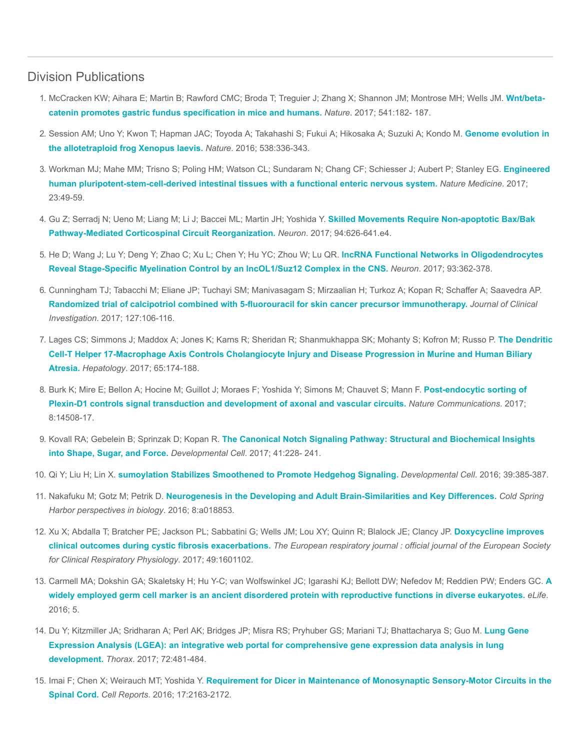#### Division Publications

- 1. [McCracken KW; Aihara E; Martin B; Rawford CMC; Broda T; Treguier J; Zhang X; Shannon JM; Montrose MH; Wells JM.](https://www.ncbi.nlm.nih.gov/pubmed/28052057) Wnt/betacatenin promotes gastric fundus specification in mice and humans. Nature. 2017; 541:182- 187.
- 2. [Session AM; Uno Y; Kwon T; Hapman JAC; Toyoda A; Takahashi S; Fukui A; Hikosaka A; Suzuki A; Kondo M.](https://www.ncbi.nlm.nih.gov/pubmed/27762356) Genome evolution in the allotetraploid frog Xenopus laevis. Nature. 2016; 538:336-343.
- 3. [Workman MJ; Mahe MM; Trisno S; Poling HM; Watson CL; Sundaram N; Chang CF; Schiesser J; Aubert P; Stanley EG.](https://www.ncbi.nlm.nih.gov/pubmed/27869805) Engineered human pluripotent-stem-cell-derived intestinal tissues with a functional enteric nervous system. Nature Medicine. 2017; 23:49-59.
- 4. [Gu Z; Serradj N; Ueno M; Liang M; Li J; Baccei ML; Martin JH; Yoshida Y.](https://www.ncbi.nlm.nih.gov/pubmed/28472660) Skilled Movements Require Non-apoptotic Bax/Bak Pathway-Mediated Corticospinal Circuit Reorganization. Neuron. 2017; 94:626-641.e4.
- 5. He D; Wang J; Lu Y; Deng Y; Zhao C; Xu L; Chen Y; Hu YC; Zhou W; Lu QR. lncRNA Functional Networks in Oligodendrocytes [Reveal Stage-Specific Myelination Control by an lncOL1/Suz12 Complex in the CNS.](https://www.ncbi.nlm.nih.gov/pubmed/28041882) Neuron. 2017; 93:362-378.
- 6. Cunningham TJ; Tabacchi M; Eliane JP; Tuchayi SM; Manivasagam S; Mirzaalian H; Turkoz A; Kopan R; Schaffer A; Saavedra AP. [Randomized trial of calcipotriol combined with 5-fluorouracil for skin cancer precursor immunotherapy.](https://www.ncbi.nlm.nih.gov/pubmed/27869649) Journal of Clinical Investigation. 2017; 127:106-116.
- 7. [Lages CS; Simmons J; Maddox A; Jones K; Karns R; Sheridan R; Shanmukhappa SK; Mohanty S; Kofron M; Russo P.](https://www.ncbi.nlm.nih.gov/pubmed/27641439) The Dendritic Cell-T Helper 17-Macrophage Axis Controls Cholangiocyte Injury and Disease Progression in Murine and Human Biliary Atresia. Hepatology. 2017; 65:174-188.
- 8. [Burk K; Mire E; Bellon A; Hocine M; Guillot J; Moraes F; Yoshida Y; Simons M; Chauvet S; Mann F.](https://www.ncbi.nlm.nih.gov/pubmed/28224988) Post-endocytic sorting of Plexin-D1 controls signal transduction and development of axonal and vascular circuits. Nature Communications. 2017; 8:14508-17.
- 9. Kovall RA; Gebelein B; Sprinzak D; Kopan R. [The Canonical Notch Signaling Pathway: Structural and Biochemical Insights](https://www.ncbi.nlm.nih.gov/pubmed/28486129) into Shape, Sugar, and Force. Developmental Cell. 2017; 41:228- 241.
- 10. Qi Y; Liu H; Lin X. [sumoylation Stabilizes Smoothened to Promote Hedgehog Signaling.](https://www.ncbi.nlm.nih.gov/pubmed/27875680) Developmental Cell. 2016; 39:385-387.
- 11. Nakafuku M; Gotz M; Petrik D. [Neurogenesis in the Developing and Adult Brain-Similarities and Key Differences.](https://www.ncbi.nlm.nih.gov/pubmed/27235475) Cold Spring Harbor perspectives in biology. 2016; 8:a018853.
- 12. [Xu X; Abdalla T; Bratcher PE; Jackson PL; Sabbatini G; Wells JM; Lou XY; Quinn R; Blalock JE; Clancy JP.](https://www.ncbi.nlm.nih.gov/pubmed/28381428) Doxycycline improves clinical outcomes during cystic fibrosis exacerbations. The European respiratory journal : official journal of the European Society for Clinical Respiratory Physiology. 2017; 49:1601102.
- 13. [Carmell MA; Dokshin GA; Skaletsky H; Hu Y-C; van Wolfswinkel JC; Igarashi KJ; Bellott DW; Nefedov M; Reddien PW; Enders GC.](https://www.ncbi.nlm.nih.gov/pubmed/27718356) A widely employed germ cell marker is an ancient disordered protein with reproductive functions in diverse eukaryotes. eLife. 2016; 5.
- 14. [Du Y; Kitzmiller JA; Sridharan A; Perl AK; Bridges JP; Misra RS; Pryhuber GS; Mariani TJ; Bhattacharya S; Guo M.](https://www.ncbi.nlm.nih.gov/pubmed/28070014) Lung Gene Expression Analysis (LGEA): an integrative web portal for comprehensive gene expression data analysis in lung development. Thorax. 2017; 72:481-484.
- 15. Imai F; Chen X; Weirauch MT; Yoshida Y. [Requirement for Dicer in Maintenance of Monosynaptic Sensory-Motor Circuits in the](https://www.ncbi.nlm.nih.gov/pubmed/27880894) Spinal Cord. Cell Reports. 2016; 17:2163-2172.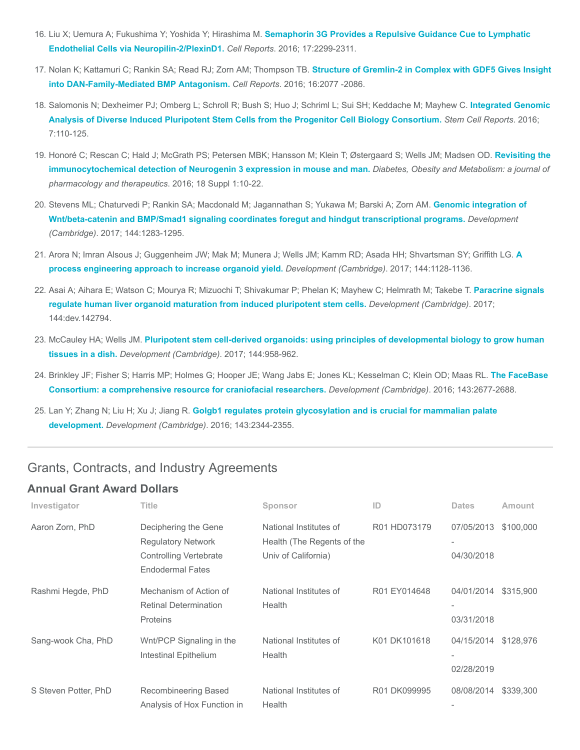- 16. Liu X; Uemura A; Fukushima Y; Yoshida Y; Hirashima M. [Semaphorin 3G Provides a Repulsive Guidance Cue to Lymphatic](https://www.ncbi.nlm.nih.gov/pubmed/27880905) Endothelial Cells via Neuropilin-2/PlexinD1. Cell Reports. 2016; 17:2299-2311.
- 17. [Nolan K; Kattamuri C; Rankin SA; Read RJ; Zorn AM; Thompson TB.](https://www.ncbi.nlm.nih.gov/pubmed/27524626) Structure of Gremlin-2 in Complex with GDF5 Gives Insight into DAN-Family-Mediated BMP Antagonism. Cell Reports. 2016; 16:2077 -2086.
- 18. [Salomonis N; Dexheimer PJ; Omberg L; Schroll R; Bush S; Huo J; Schriml L; Sui SH; Keddache M; Mayhew C.](https://www.ncbi.nlm.nih.gov/pubmed/27293150) Integrated Genomic Analysis of Diverse Induced Pluripotent Stem Cells from the Progenitor Cell Biology Consortium. Stem Cell Reports. 2016; 7:110-125.
- 19. [Honoré C; Rescan C; Hald J; McGrath PS; Petersen MBK; Hansson M; Klein T; Østergaard S; Wells JM; Madsen OD.](https://www.ncbi.nlm.nih.gov/pubmed/27615127) Revisiting the immunocytochemical detection of Neurogenin 3 expression in mouse and man. Diabetes, Obesity and Metabolism: a journal of pharmacology and therapeutics. 2016; 18 Suppl 1:10-22.
- 20. [Stevens ML; Chaturvedi P; Rankin SA; Macdonald M; Jagannathan S; Yukawa M; Barski A; Zorn AM.](https://www.ncbi.nlm.nih.gov/pubmed/28219948) Genomic integration of Wnt/beta-catenin and BMP/Smad1 signaling coordinates foregut and hindgut transcriptional programs. Development (Cambridge). 2017; 144:1283-1295.
- 21. [Arora N; Imran Alsous J; Guggenheim JW; Mak M; Munera J; Wells JM; Kamm RD; Asada HH; Shvartsman SY; Griffith LG.](https://www.ncbi.nlm.nih.gov/pubmed/28174251) A process engineering approach to increase organoid yield. Development (Cambridge). 2017; 144:1128-1136.
- 22. [Asai A; Aihara E; Watson C; Mourya R; Mizuochi T; Shivakumar P; Phelan K; Mayhew C; Helmrath M; Takebe T.](https://www.ncbi.nlm.nih.gov/pubmed/28275009) Paracrine signals regulate human liver organoid maturation from induced pluripotent stem cells. Development (Cambridge). 2017; 144:dev.142794.
- 23. McCauley HA; Wells JM. [Pluripotent stem cell-derived organoids: using principles of developmental biology to grow human](https://www.ncbi.nlm.nih.gov/pubmed/28292841) tissues in a dish. Development (Cambridge). 2017; 144:958-962.
- 24. [Brinkley JF; Fisher S; Harris MP; Holmes G; Hooper JE; Wang Jabs E; Jones KL; Kesselman C; Klein OD; Maas RL.](https://www.ncbi.nlm.nih.gov/pubmed/27287806) The FaceBase Consortium: a comprehensive resource for craniofacial researchers. Development (Cambridge). 2016; 143:2677-2688.
- 25. Lan Y; Zhang N; Liu H; Xu J; Jiang R. [Golgb1 regulates protein glycosylation and is crucial for mammalian palate](https://www.ncbi.nlm.nih.gov/pubmed/27226319) development. Development (Cambridge). 2016; 143:2344-2355.

### Grants, Contracts, and Industry Agreements

#### Annual Grant Award Dollars

| Investigator         | Title                                                                                                         | Sponsor                                                                     | ID           | <b>Dates</b>             | Amount    |
|----------------------|---------------------------------------------------------------------------------------------------------------|-----------------------------------------------------------------------------|--------------|--------------------------|-----------|
| Aaron Zorn, PhD      | Deciphering the Gene<br><b>Regulatory Network</b><br><b>Controlling Vertebrate</b><br><b>Endodermal Fates</b> | National Institutes of<br>Health (The Regents of the<br>Univ of California) | R01 HD073179 | 07/05/2013<br>04/30/2018 | \$100,000 |
| Rashmi Hegde, PhD    | Mechanism of Action of<br><b>Retinal Determination</b><br>Proteins                                            | National Institutes of<br>Health                                            | R01 EY014648 | 04/01/2014<br>03/31/2018 | \$315,900 |
| Sang-wook Cha, PhD   | Wnt/PCP Signaling in the<br>Intestinal Epithelium                                                             | National Institutes of<br>Health                                            | K01 DK101618 | 04/15/2014<br>02/28/2019 | \$128,976 |
| S Steven Potter, PhD | Recombineering Based<br>Analysis of Hox Function in                                                           | National Institutes of<br>Health                                            | R01 DK099995 | 08/08/2014               | \$339,300 |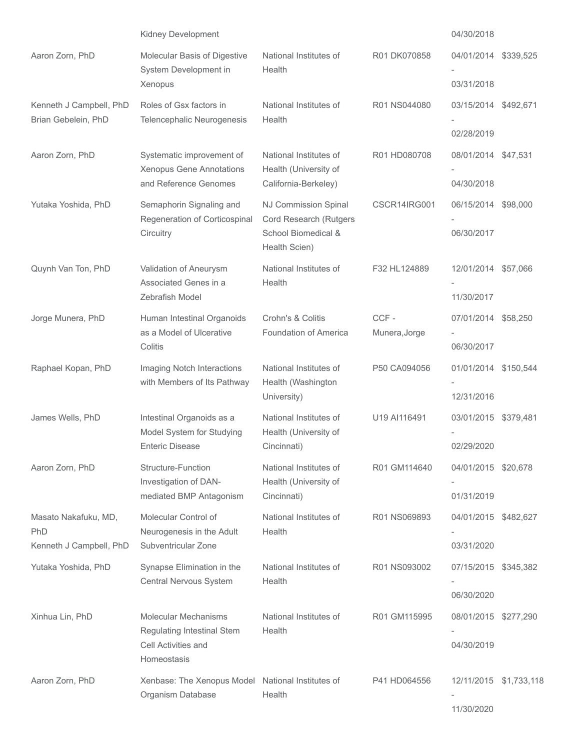|                                                        | Kidney Development                                                                              |                                                                                        |                       | 04/30/2018                           |           |
|--------------------------------------------------------|-------------------------------------------------------------------------------------------------|----------------------------------------------------------------------------------------|-----------------------|--------------------------------------|-----------|
| Aaron Zorn, PhD                                        | Molecular Basis of Digestive<br>System Development in                                           | National Institutes of<br>Health                                                       | R01 DK070858          | 04/01/2014                           | \$339,525 |
|                                                        | Xenopus                                                                                         |                                                                                        |                       | 03/31/2018                           |           |
| Kenneth J Campbell, PhD<br>Brian Gebelein, PhD         | Roles of Gsx factors in<br>Telencephalic Neurogenesis                                           | National Institutes of<br>Health                                                       | R01 NS044080          | 03/15/2014 \$492,671<br>02/28/2019   |           |
| Aaron Zorn, PhD                                        | Systematic improvement of<br>Xenopus Gene Annotations<br>and Reference Genomes                  | National Institutes of<br>Health (University of<br>California-Berkeley)                | R01 HD080708          | 08/01/2014 \$47.531<br>04/30/2018    |           |
| Yutaka Yoshida, PhD                                    | Semaphorin Signaling and<br>Regeneration of Corticospinal<br>Circuitry                          | NJ Commission Spinal<br>Cord Research (Rutgers<br>School Biomedical &<br>Health Scien) | CSCR14IRG001          | 06/15/2014 \$98,000<br>06/30/2017    |           |
| Quynh Van Ton, PhD                                     | Validation of Aneurysm<br>Associated Genes in a<br>Zebrafish Model                              | National Institutes of<br>Health                                                       | F32 HL124889          | 12/01/2014 \$57,066<br>11/30/2017    |           |
| Jorge Munera, PhD                                      | Human Intestinal Organoids<br>as a Model of Ulcerative<br>Colitis                               | Crohn's & Colitis<br>Foundation of America                                             | CCF-<br>Munera, Jorge | 07/01/2014 \$58,250<br>06/30/2017    |           |
| Raphael Kopan, PhD                                     | Imaging Notch Interactions<br>with Members of Its Pathway                                       | National Institutes of<br>Health (Washington<br>University)                            | P50 CA094056          | 01/01/2014 \$150,544<br>12/31/2016   |           |
| James Wells, PhD                                       | Intestinal Organoids as a<br>Model System for Studying<br><b>Enteric Disease</b>                | National Institutes of<br>Health (University of<br>Cincinnati)                         | U19 AI116491          | 03/01/2015 \$379,481<br>02/29/2020   |           |
| Aaron Zorn, PhD                                        | Structure-Function<br>Investigation of DAN-<br>mediated BMP Antagonism                          | National Institutes of<br>Health (University of<br>Cincinnati)                         | R01 GM114640          | 04/01/2015 \$20.678<br>01/31/2019    |           |
| Masato Nakafuku, MD,<br>PhD<br>Kenneth J Campbell, PhD | Molecular Control of<br>Neurogenesis in the Adult<br>Subventricular Zone                        | National Institutes of<br>Health                                                       | R01 NS069893          | 04/01/2015 \$482,627<br>03/31/2020   |           |
| Yutaka Yoshida, PhD                                    | Synapse Elimination in the<br>Central Nervous System                                            | National Institutes of<br>Health                                                       | R01 NS093002          | 07/15/2015 \$345,382<br>06/30/2020   |           |
| Xinhua Lin, PhD                                        | <b>Molecular Mechanisms</b><br>Regulating Intestinal Stem<br>Cell Activities and<br>Homeostasis | National Institutes of<br>Health                                                       | R01 GM115995          | 08/01/2015 \$277,290<br>04/30/2019   |           |
| Aaron Zorn, PhD                                        | Xenbase: The Xenopus Model National Institutes of<br>Organism Database                          | Health                                                                                 | P41 HD064556          | 12/11/2015 \$1,733,118<br>11/30/2020 |           |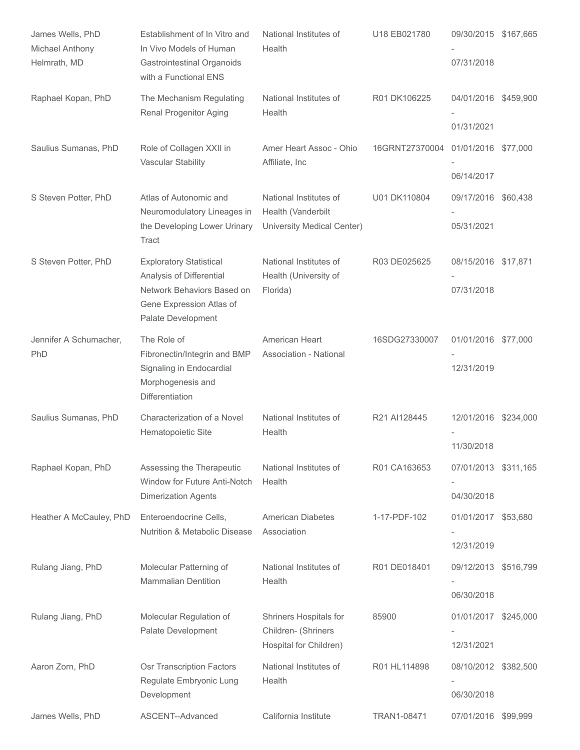| James Wells, PhD<br>Michael Anthony<br>Helmrath, MD | Establishment of In Vitro and<br>In Vivo Models of Human<br><b>Gastrointestinal Organoids</b><br>with a Functional ENS                     | National Institutes of<br>Health                                           | U18 EB021780   | 09/30/2015 \$167,665<br>07/31/2018 |          |
|-----------------------------------------------------|--------------------------------------------------------------------------------------------------------------------------------------------|----------------------------------------------------------------------------|----------------|------------------------------------|----------|
| Raphael Kopan, PhD                                  | The Mechanism Regulating<br>Renal Progenitor Aging                                                                                         | National Institutes of<br>Health                                           | R01 DK106225   | 04/01/2016 \$459,900<br>01/31/2021 |          |
| Saulius Sumanas, PhD                                | Role of Collagen XXII in<br>Vascular Stability                                                                                             | Amer Heart Assoc - Ohio<br>Affiliate, Inc                                  | 16GRNT27370004 | 01/01/2016 \$77,000<br>06/14/2017  |          |
| S Steven Potter, PhD                                | Atlas of Autonomic and<br>Neuromodulatory Lineages in<br>the Developing Lower Urinary<br>Tract                                             | National Institutes of<br>Health (Vanderbilt<br>University Medical Center) | U01 DK110804   | 09/17/2016 \$60,438<br>05/31/2021  |          |
| S Steven Potter, PhD                                | <b>Exploratory Statistical</b><br>Analysis of Differential<br>Network Behaviors Based on<br>Gene Expression Atlas of<br>Palate Development | National Institutes of<br>Health (University of<br>Florida)                | R03 DE025625   | 08/15/2016 \$17,871<br>07/31/2018  |          |
| Jennifer A Schumacher,<br>PhD                       | The Role of<br>Fibronectin/Integrin and BMP<br>Signaling in Endocardial<br>Morphogenesis and<br>Differentiation                            | American Heart<br>Association - National                                   | 16SDG27330007  | 01/01/2016 \$77,000<br>12/31/2019  |          |
| Saulius Sumanas, PhD                                | Characterization of a Novel<br>Hematopoietic Site                                                                                          | National Institutes of<br>Health                                           | R21 AI128445   | 12/01/2016 \$234,000<br>11/30/2018 |          |
| Raphael Kopan, PhD                                  | Assessing the Therapeutic<br>Window for Future Anti-Notch<br><b>Dimerization Agents</b>                                                    | National Institutes of<br>Health                                           | R01 CA163653   | 07/01/2013 \$311,165<br>04/30/2018 |          |
| Heather A McCauley, PhD                             | Enteroendocrine Cells,<br><b>Nutrition &amp; Metabolic Disease</b>                                                                         | <b>American Diabetes</b><br>Association                                    | 1-17-PDF-102   | 01/01/2017 \$53,680<br>12/31/2019  |          |
| Rulang Jiang, PhD                                   | Molecular Patterning of<br><b>Mammalian Dentition</b>                                                                                      | National Institutes of<br>Health                                           | R01 DE018401   | 09/12/2013 \$516,799<br>06/30/2018 |          |
| Rulang Jiang, PhD                                   | Molecular Regulation of<br>Palate Development                                                                                              | Shriners Hospitals for<br>Children- (Shriners<br>Hospital for Children)    | 85900          | 01/01/2017 \$245,000<br>12/31/2021 |          |
| Aaron Zorn, PhD                                     | Osr Transcription Factors<br>Regulate Embryonic Lung<br>Development                                                                        | National Institutes of<br>Health                                           | R01 HL114898   | 08/10/2012 \$382,500<br>06/30/2018 |          |
| James Wells, PhD                                    | ASCENT--Advanced                                                                                                                           | California Institute                                                       | TRAN1-08471    | 07/01/2016                         | \$99,999 |